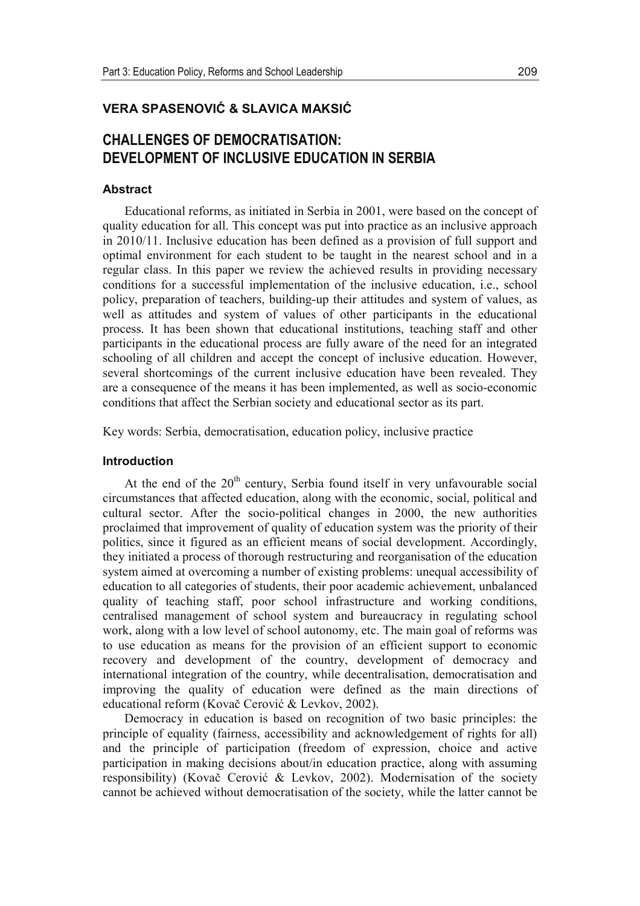## **9(5\$63\$6(129,û & 6/\$9,&\$0\$.6,û**

# **CHALLENGES OF DEMOCRATISATION: DEVELOPMENT OF INCLUSIVE EDUCATION IN SERBIA**

### **Abstract**

Educational reforms, as initiated in Serbia in 2001, were based on the concept of quality education for all. This concept was put into practice as an inclusive approach in 2010/11. Inclusive education has been defined as a provision of full support and optimal environment for each student to be taught in the nearest school and in a regular class. In this paper we review the achieved results in providing necessary conditions for a successful implementation of the inclusive education, i.e., school policy, preparation of teachers, building-up their attitudes and system of values, as well as attitudes and system of values of other participants in the educational process. It has been shown that educational institutions, teaching staff and other participants in the educational process are fully aware of the need for an integrated schooling of all children and accept the concept of inclusive education. However, several shortcomings of the current inclusive education have been revealed. They are a consequence of the means it has been implemented, as well as socio-economic conditions that affect the Serbian society and educational sector as its part.

Key words: Serbia, democratisation, education policy, inclusive practice

#### **Introduction**

At the end of the  $20<sup>th</sup>$  century, Serbia found itself in very unfavourable social circumstances that affected education, along with the economic, social, political and cultural sector. After the socio-political changes in 2000, the new authorities proclaimed that improvement of quality of education system was the priority of their politics, since it figured as an efficient means of social development. Accordingly, they initiated a process of thorough restructuring and reorganisation of the education system aimed at overcoming a number of existing problems: unequal accessibility of education to all categories of students, their poor academic achievement, unbalanced quality of teaching staff, poor school infrastructure and working conditions, centralised management of school system and bureaucracy in regulating school work, along with a low level of school autonomy, etc. The main goal of reforms was to use education as means for the provision of an efficient support to economic recovery and development of the country, development of democracy and international integration of the country, while decentralisation, democratisation and improving the quality of education were defined as the main directions of educational reform (Kovač Cerović & Levkov, 2002).

Democracy in education is based on recognition of two basic principles: the principle of equality (fairness, accessibility and acknowledgement of rights for all) and the principle of participation (freedom of expression, choice and active participation in making decisions about/in education practice, along with assuming responsibility) (Kovač Cerović & Levkov, 2002). Modernisation of the society cannot be achieved without democratisation of the society, while the latter cannot be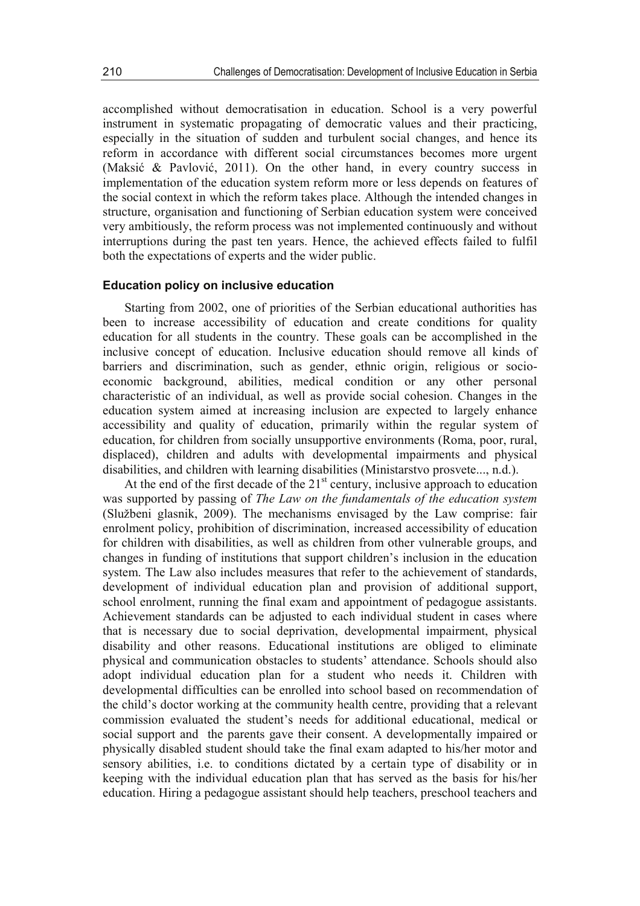accomplished without democratisation in education. School is a very powerful instrument in systematic propagating of democratic values and their practicing, especially in the situation of sudden and turbulent social changes, and hence its reform in accordance with different social circumstances becomes more urgent (Maksić & Pavlović, 2011). On the other hand, in every country success in implementation of the education system reform more or less depends on features of the social context in which the reform takes place. Although the intended changes in structure, organisation and functioning of Serbian education system were conceived very ambitiously, the reform process was not implemented continuously and without interruptions during the past ten years. Hence, the achieved effects failed to fulfil both the expectations of experts and the wider public.

## **Education policy on inclusive education**

Starting from 2002, one of priorities of the Serbian educational authorities has been to increase accessibility of education and create conditions for quality education for all students in the country. These goals can be accomplished in the inclusive concept of education. Inclusive education should remove all kinds of barriers and discrimination, such as gender, ethnic origin, religious or socioeconomic background, abilities, medical condition or any other personal characteristic of an individual, as well as provide social cohesion. Changes in the education system aimed at increasing inclusion are expected to largely enhance accessibility and quality of education, primarily within the regular system of education, for children from socially unsupportive environments (Roma, poor, rural, displaced), children and adults with developmental impairments and physical disabilities, and children with learning disabilities (Ministarstvo prosvete..., n.d.).

At the end of the first decade of the  $21<sup>st</sup>$  century, inclusive approach to education was supported by passing of *The Law on the fundamentals of the education system* (Službeni glasnik, 2009). The mechanisms envisaged by the Law comprise: fair enrolment policy, prohibition of discrimination, increased accessibility of education for children with disabilities, as well as children from other vulnerable groups, and changes in funding of institutions that support children's inclusion in the education system. The Law also includes measures that refer to the achievement of standards, development of individual education plan and provision of additional support, school enrolment, running the final exam and appointment of pedagogue assistants. Achievement standards can be adjusted to each individual student in cases where that is necessary due to social deprivation, developmental impairment, physical disability and other reasons. Educational institutions are obliged to eliminate physical and communication obstacles to students' attendance. Schools should also adopt individual education plan for a student who needs it. Children with developmental difficulties can be enrolled into school based on recommendation of the child's doctor working at the community health centre, providing that a relevant commission evaluated the student's needs for additional educational, medical or social support and the parents gave their consent. A developmentally impaired or physically disabled student should take the final exam adapted to his/her motor and sensory abilities, i.e. to conditions dictated by a certain type of disability or in keeping with the individual education plan that has served as the basis for his/her education. Hiring a pedagogue assistant should help teachers, preschool teachers and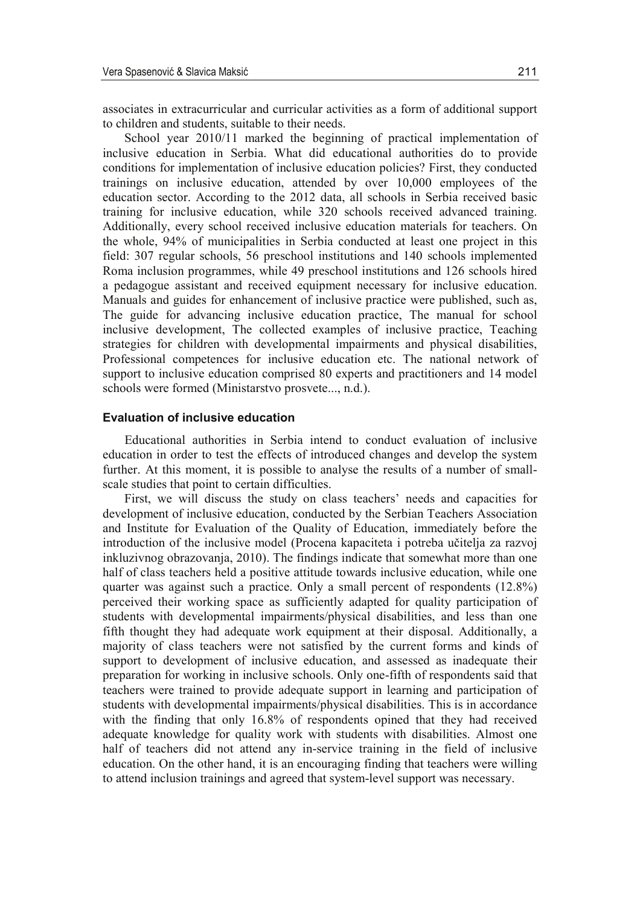associates in extracurricular and curricular activities as a form of additional support to children and students, suitable to their needs.

School year 2010/11 marked the beginning of practical implementation of inclusive education in Serbia. What did educational authorities do to provide conditions for implementation of inclusive education policies? First, they conducted trainings on inclusive education, attended by over 10,000 employees of the education sector. According to the 2012 data, all schools in Serbia received basic training for inclusive education, while 320 schools received advanced training. Additionally, every school received inclusive education materials for teachers. On the whole, 94% of municipalities in Serbia conducted at least one project in this field: 307 regular schools, 56 preschool institutions and 140 schools implemented Roma inclusion programmes, while 49 preschool institutions and 126 schools hired a pedagogue assistant and received equipment necessary for inclusive education. Manuals and guides for enhancement of inclusive practice were published, such as, The guide for advancing inclusive education practice, The manual for school inclusive development, The collected examples of inclusive practice, Teaching strategies for children with developmental impairments and physical disabilities, Professional competences for inclusive education etc. The national network of support to inclusive education comprised 80 experts and practitioners and 14 model schools were formed (Ministarstvo prosvete..., n.d.).

## **Evaluation of inclusive education**

Educational authorities in Serbia intend to conduct evaluation of inclusive education in order to test the effects of introduced changes and develop the system further. At this moment, it is possible to analyse the results of a number of smallscale studies that point to certain difficulties.

First, we will discuss the study on class teachers' needs and capacities for development of inclusive education, conducted by the Serbian Teachers Association and Institute for Evaluation of the Quality of Education, immediately before the introduction of the inclusive model (Procena kapaciteta i potreba učitelja za razvoj inkluzivnog obrazovanja, 2010). The findings indicate that somewhat more than one half of class teachers held a positive attitude towards inclusive education, while one quarter was against such a practice. Only a small percent of respondents (12.8%) perceived their working space as sufficiently adapted for quality participation of students with developmental impairments/physical disabilities, and less than one fifth thought they had adequate work equipment at their disposal. Additionally, a majority of class teachers were not satisfied by the current forms and kinds of support to development of inclusive education, and assessed as inadequate their preparation for working in inclusive schools. Only one-fifth of respondents said that teachers were trained to provide adequate support in learning and participation of students with developmental impairments/physical disabilities. This is in accordance with the finding that only 16.8% of respondents opined that they had received adequate knowledge for quality work with students with disabilities. Almost one half of teachers did not attend any in-service training in the field of inclusive education. On the other hand, it is an encouraging finding that teachers were willing to attend inclusion trainings and agreed that system-level support was necessary.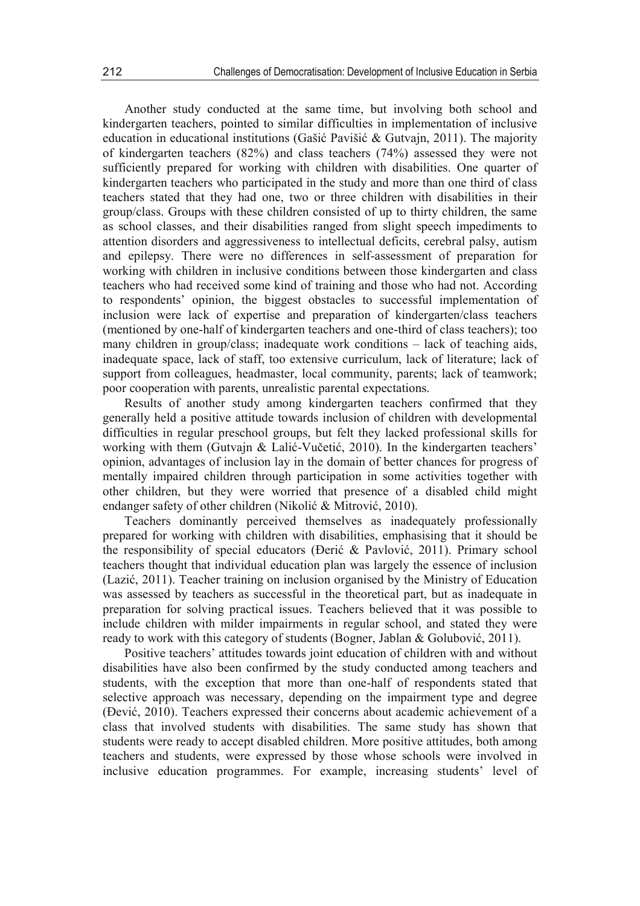Another study conducted at the same time, but involving both school and kindergarten teachers, pointed to similar difficulties in implementation of inclusive education in educational institutions (Gašić Pavišić & Gutvajn, 2011). The majority of kindergarten teachers (82%) and class teachers (74%) assessed they were not sufficiently prepared for working with children with disabilities. One quarter of kindergarten teachers who participated in the study and more than one third of class teachers stated that they had one, two or three children with disabilities in their group/class. Groups with these children consisted of up to thirty children, the same as school classes, and their disabilities ranged from slight speech impediments to attention disorders and aggressiveness to intellectual deficits, cerebral palsy, autism and epilepsy. There were no differences in self-assessment of preparation for working with children in inclusive conditions between those kindergarten and class teachers who had received some kind of training and those who had not. According to respondents' opinion, the biggest obstacles to successful implementation of inclusion were lack of expertise and preparation of kindergarten/class teachers (mentioned by one-half of kindergarten teachers and one-third of class teachers); too many children in group/class; inadequate work conditions – lack of teaching aids, inadequate space, lack of staff, too extensive curriculum, lack of literature; lack of support from colleagues, headmaster, local community, parents; lack of teamwork; poor cooperation with parents, unrealistic parental expectations.

Results of another study among kindergarten teachers confirmed that they generally held a positive attitude towards inclusion of children with developmental difficulties in regular preschool groups, but felt they lacked professional skills for working with them (Gutvajn & Lalić-Vučetić, 2010). In the kindergarten teachers' opinion, advantages of inclusion lay in the domain of better chances for progress of mentally impaired children through participation in some activities together with other children, but they were worried that presence of a disabled child might endanger safety of other children (Nikolić & Mitrović, 2010).

Teachers dominantly perceived themselves as inadequately professionally prepared for working with children with disabilities, emphasising that it should be the responsibility of special educators (Đerić & Pavlović, 2011). Primary school teachers thought that individual education plan was largely the essence of inclusion (Lazić, 2011). Teacher training on inclusion organised by the Ministry of Education was assessed by teachers as successful in the theoretical part, but as inadequate in preparation for solving practical issues. Teachers believed that it was possible to include children with milder impairments in regular school, and stated they were ready to work with this category of students (Bogner, Jablan & Golubović, 2011).

Positive teachers' attitudes towards joint education of children with and without disabilities have also been confirmed by the study conducted among teachers and students, with the exception that more than one-half of respondents stated that selective approach was necessary, depending on the impairment type and degree (Đević, 2010). Teachers expressed their concerns about academic achievement of a class that involved students with disabilities. The same study has shown that students were ready to accept disabled children. More positive attitudes, both among teachers and students, were expressed by those whose schools were involved in inclusive education programmes. For example, increasing students' level of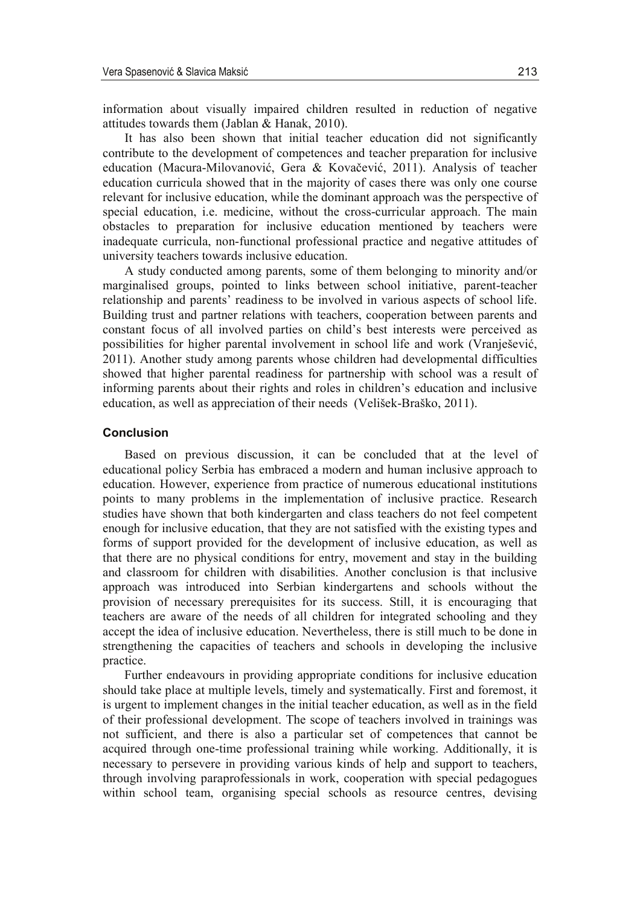information about visually impaired children resulted in reduction of negative attitudes towards them (Jablan & Hanak, 2010).

It has also been shown that initial teacher education did not significantly contribute to the development of competences and teacher preparation for inclusive education (Macura-Milovanović, Gera & Kovačević, 2011). Analysis of teacher education curricula showed that in the majority of cases there was only one course relevant for inclusive education, while the dominant approach was the perspective of special education, i.e. medicine, without the cross-curricular approach. The main obstacles to preparation for inclusive education mentioned by teachers were inadequate curricula, non-functional professional practice and negative attitudes of university teachers towards inclusive education.

A study conducted among parents, some of them belonging to minority and/or marginalised groups, pointed to links between school initiative, parent-teacher relationship and parents' readiness to be involved in various aspects of school life. Building trust and partner relations with teachers, cooperation between parents and constant focus of all involved parties on child's best interests were perceived as possibilities for higher parental involvement in school life and work (Vranješević, 2011). Another study among parents whose children had developmental difficulties showed that higher parental readiness for partnership with school was a result of informing parents about their rights and roles in children's education and inclusive education, as well as appreciation of their needs (Velišek-Braško, 2011).

#### **Conclusion**

Based on previous discussion, it can be concluded that at the level of educational policy Serbia has embraced a modern and human inclusive approach to education. However, experience from practice of numerous educational institutions points to many problems in the implementation of inclusive practice. Research studies have shown that both kindergarten and class teachers do not feel competent enough for inclusive education, that they are not satisfied with the existing types and forms of support provided for the development of inclusive education, as well as that there are no physical conditions for entry, movement and stay in the building and classroom for children with disabilities. Another conclusion is that inclusive approach was introduced into Serbian kindergartens and schools without the provision of necessary prerequisites for its success. Still, it is encouraging that teachers are aware of the needs of all children for integrated schooling and they accept the idea of inclusive education. Nevertheless, there is still much to be done in strengthening the capacities of teachers and schools in developing the inclusive practice.

Further endeavours in providing appropriate conditions for inclusive education should take place at multiple levels, timely and systematically. First and foremost, it is urgent to implement changes in the initial teacher education, as well as in the field of their professional development. The scope of teachers involved in trainings was not sufficient, and there is also a particular set of competences that cannot be acquired through one-time professional training while working. Additionally, it is necessary to persevere in providing various kinds of help and support to teachers, through involving paraprofessionals in work, cooperation with special pedagogues within school team, organising special schools as resource centres, devising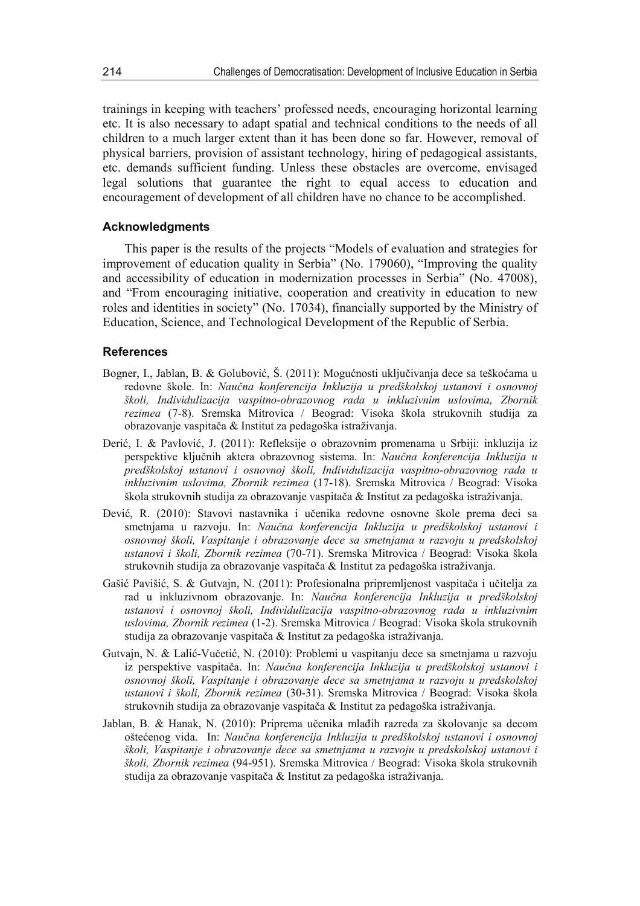trainings in keeping with teachers' professed needs, encouraging horizontal learning etc. It is also necessary to adapt spatial and technical conditions to the needs of all children to a much larger extent than it has been done so far. However, removal of physical barriers, provision of assistant technology, hiring of pedagogical assistants, etc. demands sufficient funding. Unless these obstacles are overcome, envisaged legal solutions that guarantee the right to equal access to education and encouragement of development of all children have no chance to be accomplished.

## **Acknowledgments**

This paper is the results of the projects "Models of evaluation and strategies for improvement of education quality in Serbia" (No. 179060), "Improving the quality and accessibility of education in modernization processes in Serbia" (No. 47008), and "From encouraging initiative, cooperation and creativity in education to new roles and identities in society" (No. 17034), financially supported by the Ministry of Education, Science, and Technological Development of the Republic of Serbia.

### **References**

- Bogner, I., Jablan, B. & Golubović, Š. (2011): Mogućnosti uključivanja dece sa teškoćama u redovne škole. In: *Naučna konferencija Inkluzija u predškolskoj ustanovi i osnovnoj školi, Individulizacija vaspitno-obrazovnog rada u inkluzivnim uslovima, Zbornik rezimea* (7-8). Sremska Mitrovica / Beograd: Visoka škola strukovnih studija za obrazovanje vaspitača & Institut za pedagoška istraživanja.
- Đerić, I. & Pavlović, J. (2011): Refleksije o obrazovnim promenama u Srbiji: inkluzija iz perspektive ključnih aktera obrazovnog sistema. In: *Naučna konferencija Inkluzija u predškolskoj ustanovi i osnovnoj školi, Individulizacija vaspitno-obrazovnog rada u inkluzivnim uslovima, Zbornik rezimea* (17-18). Sremska Mitrovica / Beograd: Visoka škola strukovnih studija za obrazovanje vaspitača & Institut za pedagoška istraživanja.
- Đević, R. (2010): Stavovi nastavnika i učenika redovne osnovne škole prema deci sa smetnjama u razvoju. In: *Naučna konferencija Inkluzija u predškolskoj ustanovi i osnovnoj školi, Vaspitanje i obrazovanje dece sa smetnjama u razvoju u predskolskoj ustanovi i školi, Zbornik rezimea* (70-71). Sremska Mitrovica / Beograd: Visoka škola strukovnih studija za obrazovanje vaspitača & Institut za pedagoška istraživanja.
- Gašić Pavišić, S. & Gutvajn, N. (2011): Profesionalna pripremljenost vaspitača i učitelja za rad u inkluzivnom obrazovanje. In: *Naučna konferencija Inkluzija u predškolskoj ustanovi i osnovnoj školi, Individulizacija vaspitno-obrazovnog rada u inkluzivnim uslovima, Zbornik rezimea* (1-2). Sremska Mitrovica / Beograd: Visoka škola strukovnih studija za obrazovanje vaspitača & Institut za pedagoška istraživanja.
- Gutvajn, N. & Lalić-Vučetić, N. (2010): Problemi u vaspitanju dece sa smetnjama u razvoju iz perspektive vaspitača. In: *Naučna konferencija Inkluzija u predškolskoj ustanovi i osnovnoj školi, Vaspitanje i obrazovanje dece sa smetnjama u razvoju u predskolskoj ustanovi i školi, Zbornik rezimea* (30-31). Sremska Mitrovica / Beograd: Visoka škola strukovnih studija za obrazovanje vaspitača & Institut za pedagoška istraživanja.
- Jablan, B. & Hanak, N. (2010): Priprema učenika mlađih razreda za školovanje sa decom oštećenog vida. In: *Naučna konferencija Inkluzija u predškolskoj ustanovi i osnovnoj školi, Vaspitanje i obrazovanje dece sa smetnjama u razvoju u predskolskoj ustanovi i školi, Zbornik rezimea* (94-951). Sremska Mitrovica / Beograd: Visoka škola strukovnih studija za obrazovanje vaspitača & Institut za pedagoška istraživanja.